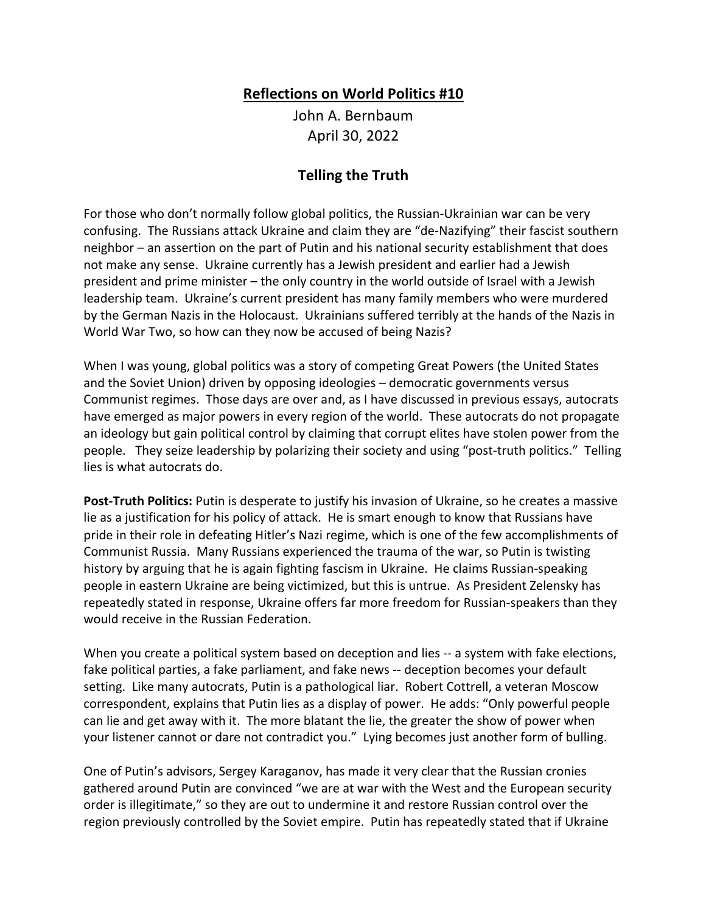## **Reflections on World Politics #10**

John A. Bernbaum April 30, 2022

## **Telling the Truth**

For those who don't normally follow global politics, the Russian-Ukrainian war can be very confusing. The Russians attack Ukraine and claim they are "de-Nazifying" their fascist southern neighbor – an assertion on the part of Putin and his national security establishment that does not make any sense. Ukraine currently has a Jewish president and earlier had a Jewish president and prime minister – the only country in the world outside of Israel with a Jewish leadership team. Ukraine's current president has many family members who were murdered by the German Nazis in the Holocaust. Ukrainians suffered terribly at the hands of the Nazis in World War Two, so how can they now be accused of being Nazis?

When I was young, global politics was a story of competing Great Powers (the United States and the Soviet Union) driven by opposing ideologies – democratic governments versus Communist regimes. Those days are over and, as I have discussed in previous essays, autocrats have emerged as major powers in every region of the world. These autocrats do not propagate an ideology but gain political control by claiming that corrupt elites have stolen power from the people. They seize leadership by polarizing their society and using "post-truth politics." Telling lies is what autocrats do.

**Post-Truth Politics:** Putin is desperate to justify his invasion of Ukraine, so he creates a massive lie as a justification for his policy of attack. He is smart enough to know that Russians have pride in their role in defeating Hitler's Nazi regime, which is one of the few accomplishments of Communist Russia. Many Russians experienced the trauma of the war, so Putin is twisting history by arguing that he is again fighting fascism in Ukraine. He claims Russian-speaking people in eastern Ukraine are being victimized, but this is untrue. As President Zelensky has repeatedly stated in response, Ukraine offers far more freedom for Russian-speakers than they would receive in the Russian Federation.

When you create a political system based on deception and lies -- a system with fake elections, fake political parties, a fake parliament, and fake news -- deception becomes your default setting. Like many autocrats, Putin is a pathological liar. Robert Cottrell, a veteran Moscow correspondent, explains that Putin lies as a display of power. He adds: "Only powerful people can lie and get away with it. The more blatant the lie, the greater the show of power when your listener cannot or dare not contradict you." Lying becomes just another form of bulling.

One of Putin's advisors, Sergey Karaganov, has made it very clear that the Russian cronies gathered around Putin are convinced "we are at war with the West and the European security order is illegitimate," so they are out to undermine it and restore Russian control over the region previously controlled by the Soviet empire. Putin has repeatedly stated that if Ukraine